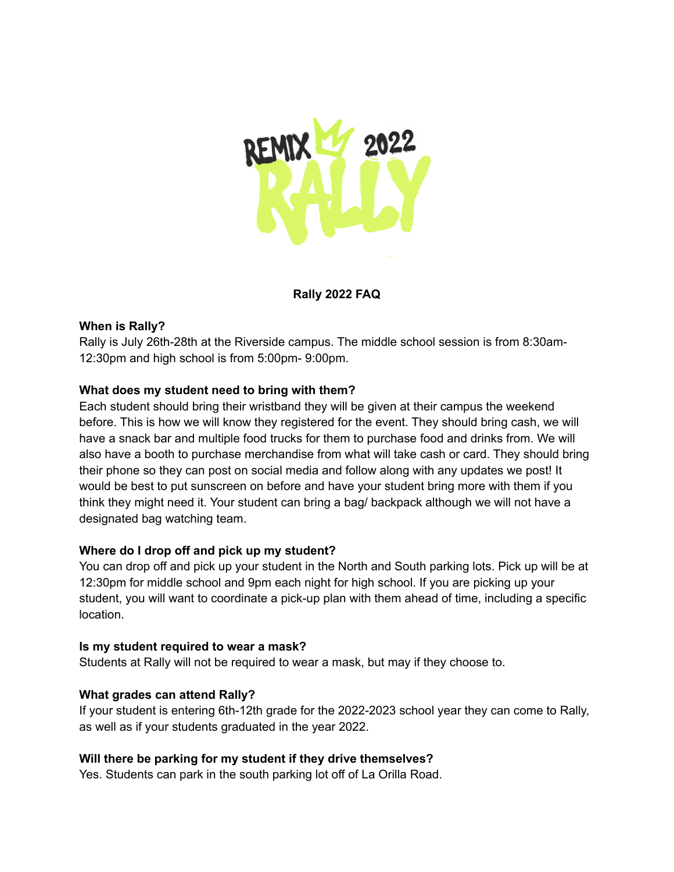

# **Rally 2022 FAQ**

### **When is Rally?**

Rally is July 26th-28th at the Riverside campus. The middle school session is from 8:30am-12:30pm and high school is from 5:00pm- 9:00pm.

## **What does my student need to bring with them?**

Each student should bring their wristband they will be given at their campus the weekend before. This is how we will know they registered for the event. They should bring cash, we will have a snack bar and multiple food trucks for them to purchase food and drinks from. We will also have a booth to purchase merchandise from what will take cash or card. They should bring their phone so they can post on social media and follow along with any updates we post! It would be best to put sunscreen on before and have your student bring more with them if you think they might need it. Your student can bring a bag/ backpack although we will not have a designated bag watching team.

### **Where do I drop off and pick up my student?**

You can drop off and pick up your student in the North and South parking lots. Pick up will be at 12:30pm for middle school and 9pm each night for high school. If you are picking up your student, you will want to coordinate a pick-up plan with them ahead of time, including a specific location.

### **Is my student required to wear a mask?**

Students at Rally will not be required to wear a mask, but may if they choose to.

### **What grades can attend Rally?**

If your student is entering 6th-12th grade for the 2022-2023 school year they can come to Rally, as well as if your students graduated in the year 2022.

### **Will there be parking for my student if they drive themselves?**

Yes. Students can park in the south parking lot off of La Orilla Road.